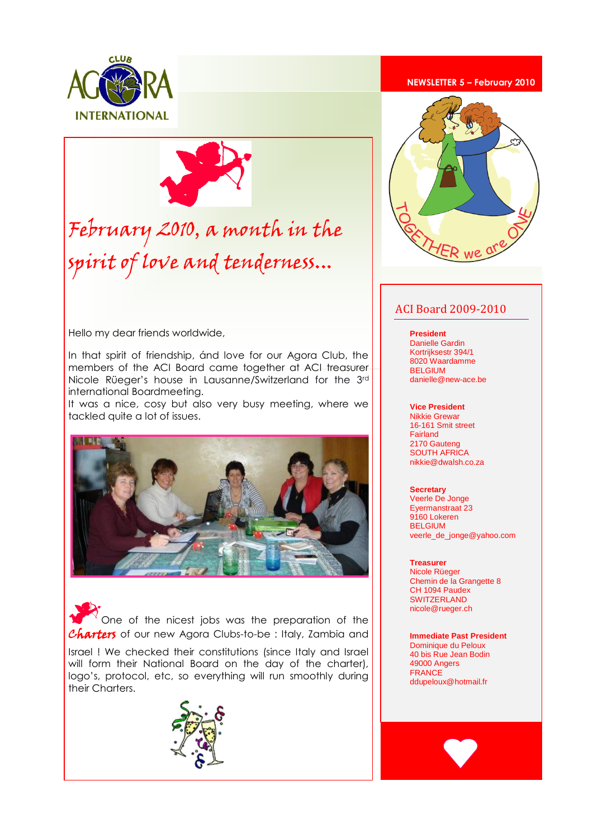



# February 2010, a month in the spirit of love and tenderness...

Hello my dear friends worldwide,

In that spirit of friendship, ánd love for our Agora Club, the members of the ACI Board came together at ACI treasurer Nicole Rüeger's house in Lausanne/Switzerland for the 3rd international Boardmeeting.

It was a nice, cosy but also very busy meeting, where we tackled quite a lot of issues.



One of the nicest jobs was the preparation of the **Charters** of our new Agora Clubs-to-be : Italy, Zambia and

Israel ! We checked their constitutions (since Italy and Israel will form their National Board on the day of the charter), logo's, protocol, etc, so everything will run smoothly during their Charters.



#### **NEWSLETTER 5 – February 2010**



### ACI Board 2009-2010

**President** 

Danielle Gardin Kortrijksestr 394/1 8020 Waardamme BELGIUM danielle@new-ace.be

#### **Vice President**

Nikkie Grewar 16-161 Smit street Fairland 2170 Gauteng SOUTH AFRICA nikkie@dwalsh.co.za

#### **Secretary** Veerle De Jonge Eyermanstraat 23 9160 Lokeren **BELGIUM** veerle\_de\_jonge@yahoo.com

#### **Treasurer**

Nicole Rüeger Chemin de la Grangette 8 CH 1094 Paudex **SWITZERLAND** nicole@rueger.ch

**Immediate Past President** Dominique du Peloux 40 bis Rue Jean Bodin 49000 Angers FRANCE ddupeloux@hotmail.fr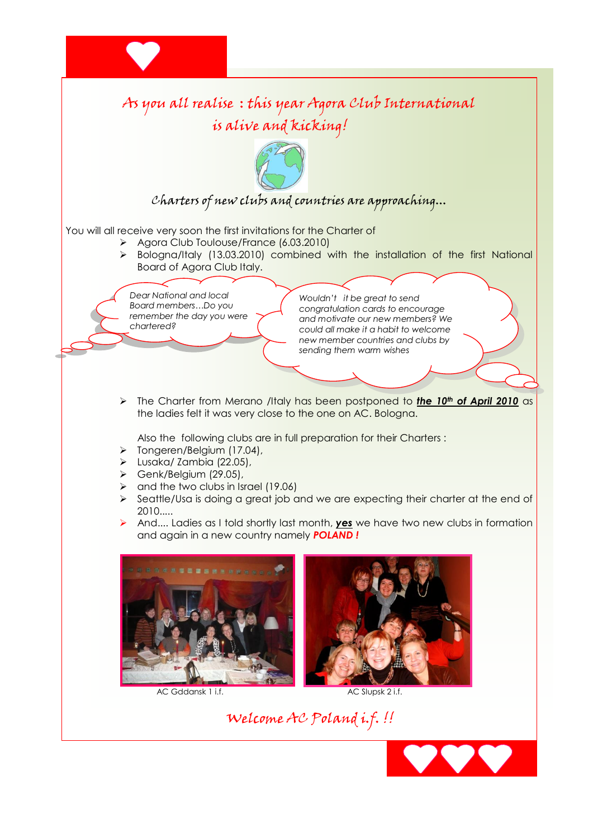

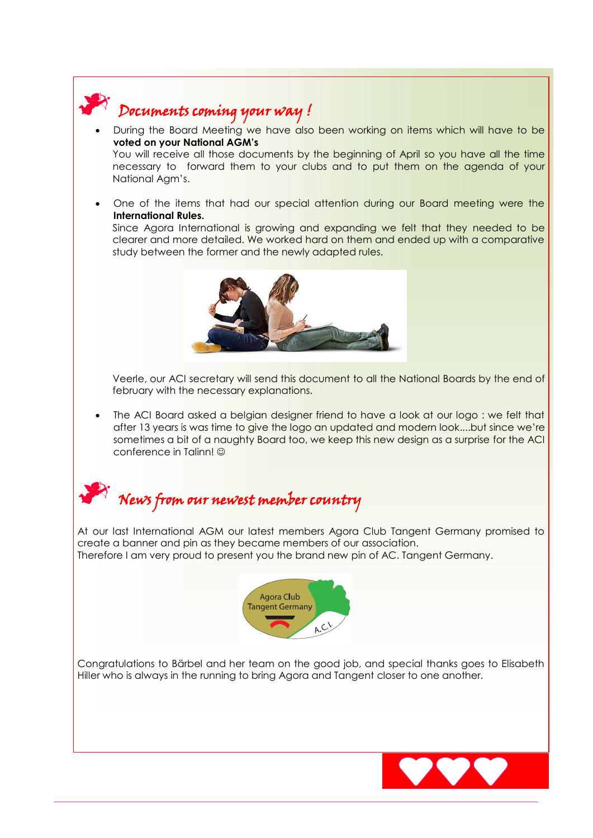

## Documents coming your way !

- During the Board Meeting we have also been working on items which will have to be **voted on your National AGM's** You will receive all those documents by the beginning of April so you have all the time necessary to forward them to your clubs and to put them on the agenda of your National Agm's.
- One of the items that had our special attention during our Board meeting were the **International Rules.**

Since Agora International is growing and expanding we felt that they needed to be clearer and more detailed. We worked hard on them and ended up with a comparative study between the former and the newly adapted rules.



Veerle, our ACI secretary will send this document to all the National Boards by the end of february with the necessary explanations.

 The ACI Board asked a belgian designer friend to have a look at our logo : we felt that after 13 years is was time to give the logo an updated and modern look....but since we're sometimes a bit of a naughty Board too, we keep this new design as a surprise for the ACI conference in Talinn!



At our last International AGM our latest members Agora Club Tangent Germany promised to create a banner and pin as they became members of our association. Therefore I am very proud to present you the brand new pin of AC. Tangent Germany.



Congratulations to Bärbel and her team on the good job, and special thanks goes to Elisabeth Hiller who is always in the running to bring Agora and Tangent closer to one another.